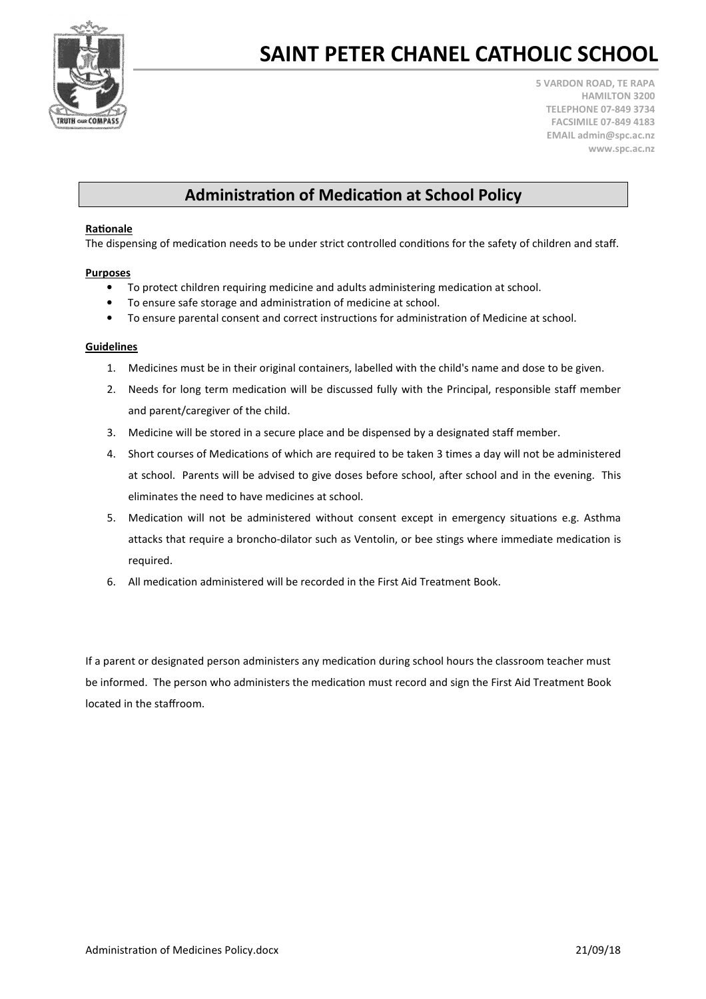

# SAINT PETER CHANEL CATHOLIC SCHOOL

5 VARDON ROAD, TE RAPA HAMILTON 3200 TELEPHONE 07-849 3734 FACSIMILE 07-849 4183 EMAIL admin@spc.ac.nz www.spc.ac.nz

### Administration of Medication at School Policy

#### Rationale

The dispensing of medication needs to be under strict controlled conditions for the safety of children and staff.

#### Purposes

- To protect children requiring medicine and adults administering medication at school.
- To ensure safe storage and administration of medicine at school.
- To ensure parental consent and correct instructions for administration of Medicine at school.

#### Guidelines

- 1. Medicines must be in their original containers, labelled with the child's name and dose to be given.
- 2. Needs for long term medication will be discussed fully with the Principal, responsible staff member and parent/caregiver of the child.
- 3. Medicine will be stored in a secure place and be dispensed by a designated staff member.
- 4. Short courses of Medications of which are required to be taken 3 times a day will not be administered at school. Parents will be advised to give doses before school, after school and in the evening. This eliminates the need to have medicines at school.
- 5. Medication will not be administered without consent except in emergency situations e.g. Asthma attacks that require a broncho-dilator such as Ventolin, or bee stings where immediate medication is required.
- 6. All medication administered will be recorded in the First Aid Treatment Book.

If a parent or designated person administers any medication during school hours the classroom teacher must be informed. The person who administers the medication must record and sign the First Aid Treatment Book located in the staffroom.